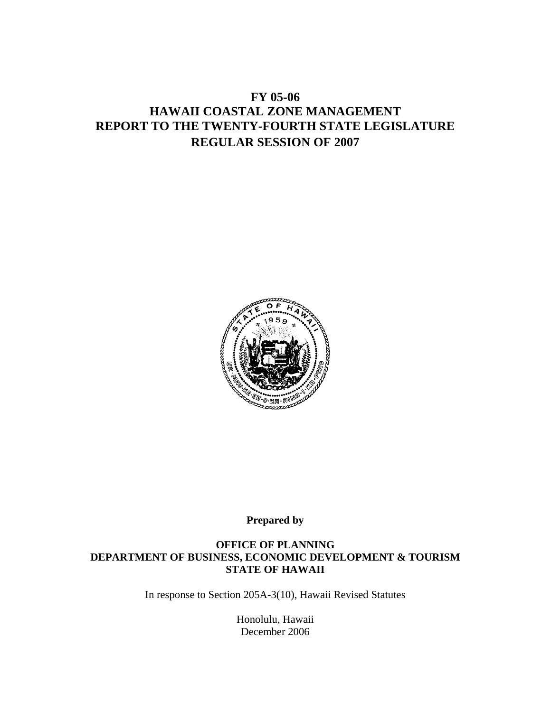# **FY 05-06 HAWAII COASTAL ZONE MANAGEMENT REPORT TO THE TWENTY-FOURTH STATE LEGISLATURE REGULAR SESSION OF 2007**



**Prepared by** 

#### **OFFICE OF PLANNING DEPARTMENT OF BUSINESS, ECONOMIC DEVELOPMENT & TOURISM STATE OF HAWAII**

In response to Section 205A-3(10), Hawaii Revised Statutes

Honolulu, Hawaii December 2006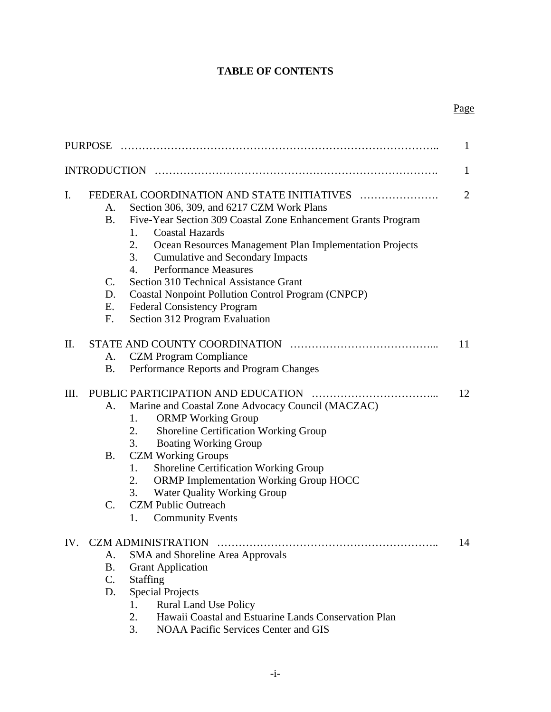# **TABLE OF CONTENTS**

#### Page **Page**

| PURPOSE                                                                           |                                                                                                                                                                                                                                                                                                                                                                                                                                                                                                 | 1              |  |
|-----------------------------------------------------------------------------------|-------------------------------------------------------------------------------------------------------------------------------------------------------------------------------------------------------------------------------------------------------------------------------------------------------------------------------------------------------------------------------------------------------------------------------------------------------------------------------------------------|----------------|--|
| $\mathbf{1}$                                                                      |                                                                                                                                                                                                                                                                                                                                                                                                                                                                                                 |                |  |
| I.<br>A.<br><b>B.</b><br>1.<br>2.<br>3.<br>4.<br>C.<br>D.<br>Е.<br>$F_{\cdot}$    | FEDERAL COORDINATION AND STATE INITIATIVES<br>Section 306, 309, and 6217 CZM Work Plans<br>Five-Year Section 309 Coastal Zone Enhancement Grants Program<br><b>Coastal Hazards</b><br>Ocean Resources Management Plan Implementation Projects<br><b>Cumulative and Secondary Impacts</b><br><b>Performance Measures</b><br>Section 310 Technical Assistance Grant<br>Coastal Nonpoint Pollution Control Program (CNPCP)<br><b>Federal Consistency Program</b><br>Section 312 Program Evaluation | $\overline{2}$ |  |
| II.<br>A.<br><b>B.</b>                                                            | <b>CZM</b> Program Compliance<br>Performance Reports and Program Changes                                                                                                                                                                                                                                                                                                                                                                                                                        | 11             |  |
| Ш.<br>A.<br>1.<br>2.<br>3.<br><b>B.</b><br>1.<br>2.<br>3.<br>$\mathbf{C}$ .<br>1. | Marine and Coastal Zone Advocacy Council (MACZAC)<br><b>ORMP</b> Working Group<br>Shoreline Certification Working Group<br><b>Boating Working Group</b><br><b>CZM Working Groups</b><br>Shoreline Certification Working Group<br><b>ORMP Implementation Working Group HOCC</b><br>Water Quality Working Group<br><b>CZM Public Outreach</b><br><b>Community Events</b>                                                                                                                          | 12             |  |
| IV.<br>А.<br>B.<br>Staffing<br>$\mathbf{C}$ .<br>D.<br>1.<br>2.<br>3.             | SMA and Shoreline Area Approvals<br><b>Grant Application</b><br><b>Special Projects</b><br><b>Rural Land Use Policy</b><br>Hawaii Coastal and Estuarine Lands Conservation Plan<br><b>NOAA Pacific Services Center and GIS</b>                                                                                                                                                                                                                                                                  | 14             |  |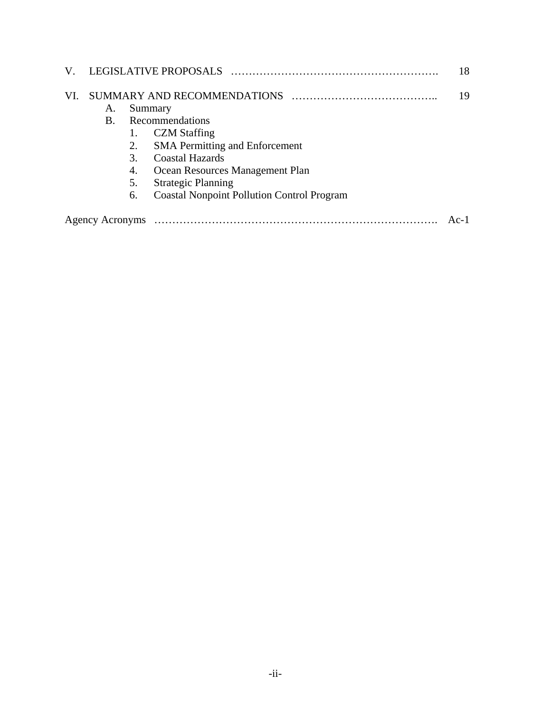| V.  |                 |                                                     | LEGISLATIVE PROPOSALS                                                                                                                                                                                                                                                    | 18 |
|-----|-----------------|-----------------------------------------------------|--------------------------------------------------------------------------------------------------------------------------------------------------------------------------------------------------------------------------------------------------------------------------|----|
| VI. | A.<br>B.        | 2.<br>$\mathcal{F}_{\mathcal{L}}$<br>4.<br>5.<br>6. | SUMMARY AND RECOMMENDATIONS<br>Summary<br>Recommendations<br><b>CZM</b> Staffing<br><b>SMA</b> Permitting and Enforcement<br><b>Coastal Hazards</b><br>Ocean Resources Management Plan<br><b>Strategic Planning</b><br><b>Coastal Nonpoint Pollution Control Program</b> | 19 |
|     | Agency Acronyms |                                                     |                                                                                                                                                                                                                                                                          |    |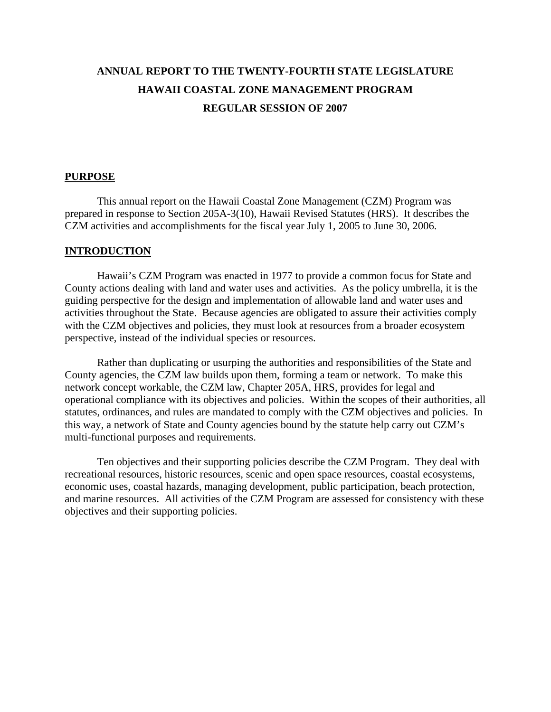# **ANNUAL REPORT TO THE TWENTY-FOURTH STATE LEGISLATURE HAWAII COASTAL ZONE MANAGEMENT PROGRAM REGULAR SESSION OF 2007**

#### **PURPOSE**

 This annual report on the Hawaii Coastal Zone Management (CZM) Program was prepared in response to Section 205A-3(10), Hawaii Revised Statutes (HRS). It describes the CZM activities and accomplishments for the fiscal year July 1, 2005 to June 30, 2006.

#### **INTRODUCTION**

 Hawaii's CZM Program was enacted in 1977 to provide a common focus for State and County actions dealing with land and water uses and activities. As the policy umbrella, it is the guiding perspective for the design and implementation of allowable land and water uses and activities throughout the State. Because agencies are obligated to assure their activities comply with the CZM objectives and policies, they must look at resources from a broader ecosystem perspective, instead of the individual species or resources.

 Rather than duplicating or usurping the authorities and responsibilities of the State and County agencies, the CZM law builds upon them, forming a team or network. To make this network concept workable, the CZM law, Chapter 205A, HRS, provides for legal and operational compliance with its objectives and policies. Within the scopes of their authorities, all statutes, ordinances, and rules are mandated to comply with the CZM objectives and policies. In this way, a network of State and County agencies bound by the statute help carry out CZM's multi-functional purposes and requirements.

 Ten objectives and their supporting policies describe the CZM Program. They deal with recreational resources, historic resources, scenic and open space resources, coastal ecosystems, economic uses, coastal hazards, managing development, public participation, beach protection, and marine resources. All activities of the CZM Program are assessed for consistency with these objectives and their supporting policies.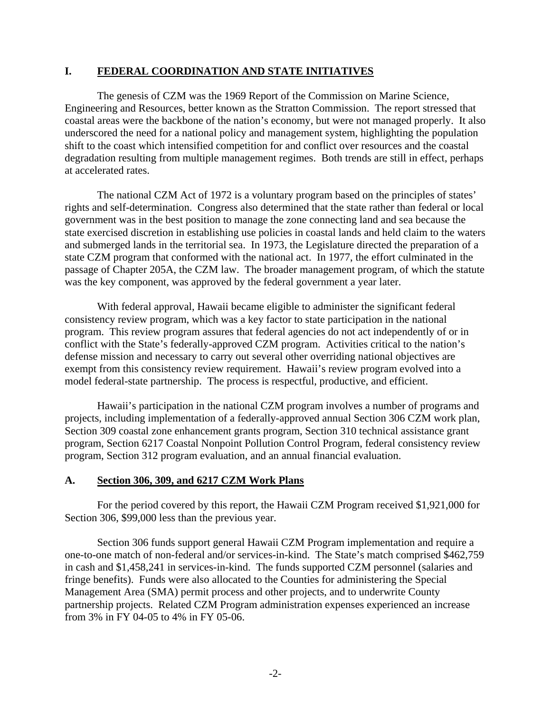#### **I. FEDERAL COORDINATION AND STATE INITIATIVES**

 The genesis of CZM was the 1969 Report of the Commission on Marine Science, Engineering and Resources, better known as the Stratton Commission. The report stressed that coastal areas were the backbone of the nation's economy, but were not managed properly. It also underscored the need for a national policy and management system, highlighting the population shift to the coast which intensified competition for and conflict over resources and the coastal degradation resulting from multiple management regimes. Both trends are still in effect, perhaps at accelerated rates.

 The national CZM Act of 1972 is a voluntary program based on the principles of states' rights and self-determination. Congress also determined that the state rather than federal or local government was in the best position to manage the zone connecting land and sea because the state exercised discretion in establishing use policies in coastal lands and held claim to the waters and submerged lands in the territorial sea. In 1973, the Legislature directed the preparation of a state CZM program that conformed with the national act. In 1977, the effort culminated in the passage of Chapter 205A, the CZM law. The broader management program, of which the statute was the key component, was approved by the federal government a year later.

 With federal approval, Hawaii became eligible to administer the significant federal consistency review program, which was a key factor to state participation in the national program. This review program assures that federal agencies do not act independently of or in conflict with the State's federally-approved CZM program. Activities critical to the nation's defense mission and necessary to carry out several other overriding national objectives are exempt from this consistency review requirement. Hawaii's review program evolved into a model federal-state partnership. The process is respectful, productive, and efficient.

 Hawaii's participation in the national CZM program involves a number of programs and projects, including implementation of a federally-approved annual Section 306 CZM work plan, Section 309 coastal zone enhancement grants program, Section 310 technical assistance grant program, Section 6217 Coastal Nonpoint Pollution Control Program, federal consistency review program, Section 312 program evaluation, and an annual financial evaluation.

## **A. Section 306, 309, and 6217 CZM Work Plans**

 For the period covered by this report, the Hawaii CZM Program received \$1,921,000 for Section 306, \$99,000 less than the previous year.

 Section 306 funds support general Hawaii CZM Program implementation and require a one-to-one match of non-federal and/or services-in-kind. The State's match comprised \$462,759 in cash and \$1,458,241 in services-in-kind. The funds supported CZM personnel (salaries and fringe benefits). Funds were also allocated to the Counties for administering the Special Management Area (SMA) permit process and other projects, and to underwrite County partnership projects. Related CZM Program administration expenses experienced an increase from 3% in FY 04-05 to 4% in FY 05-06.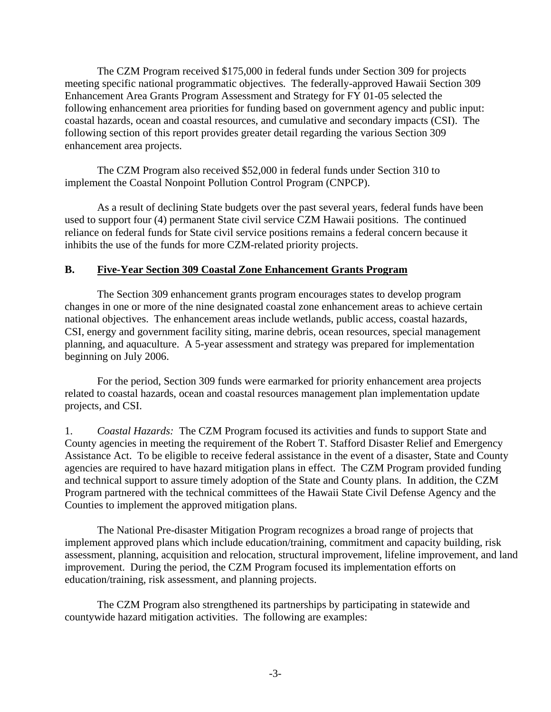The CZM Program received \$175,000 in federal funds under Section 309 for projects meeting specific national programmatic objectives. The federally-approved Hawaii Section 309 Enhancement Area Grants Program Assessment and Strategy for FY 01-05 selected the following enhancement area priorities for funding based on government agency and public input: coastal hazards, ocean and coastal resources, and cumulative and secondary impacts (CSI). The following section of this report provides greater detail regarding the various Section 309 enhancement area projects.

 The CZM Program also received \$52,000 in federal funds under Section 310 to implement the Coastal Nonpoint Pollution Control Program (CNPCP).

 As a result of declining State budgets over the past several years, federal funds have been used to support four (4) permanent State civil service CZM Hawaii positions. The continued reliance on federal funds for State civil service positions remains a federal concern because it inhibits the use of the funds for more CZM-related priority projects.

## **B. Five-Year Section 309 Coastal Zone Enhancement Grants Program**

 The Section 309 enhancement grants program encourages states to develop program changes in one or more of the nine designated coastal zone enhancement areas to achieve certain national objectives. The enhancement areas include wetlands, public access, coastal hazards, CSI, energy and government facility siting, marine debris, ocean resources, special management planning, and aquaculture. A 5-year assessment and strategy was prepared for implementation beginning on July 2006.

 For the period, Section 309 funds were earmarked for priority enhancement area projects related to coastal hazards, ocean and coastal resources management plan implementation update projects, and CSI.

1. *Coastal Hazards:* The CZM Program focused its activities and funds to support State and County agencies in meeting the requirement of the Robert T. Stafford Disaster Relief and Emergency Assistance Act. To be eligible to receive federal assistance in the event of a disaster, State and County agencies are required to have hazard mitigation plans in effect. The CZM Program provided funding and technical support to assure timely adoption of the State and County plans. In addition, the CZM Program partnered with the technical committees of the Hawaii State Civil Defense Agency and the Counties to implement the approved mitigation plans.

 The National Pre-disaster Mitigation Program recognizes a broad range of projects that implement approved plans which include education/training, commitment and capacity building, risk assessment, planning, acquisition and relocation, structural improvement, lifeline improvement, and land improvement. During the period, the CZM Program focused its implementation efforts on education/training, risk assessment, and planning projects.

 The CZM Program also strengthened its partnerships by participating in statewide and countywide hazard mitigation activities. The following are examples: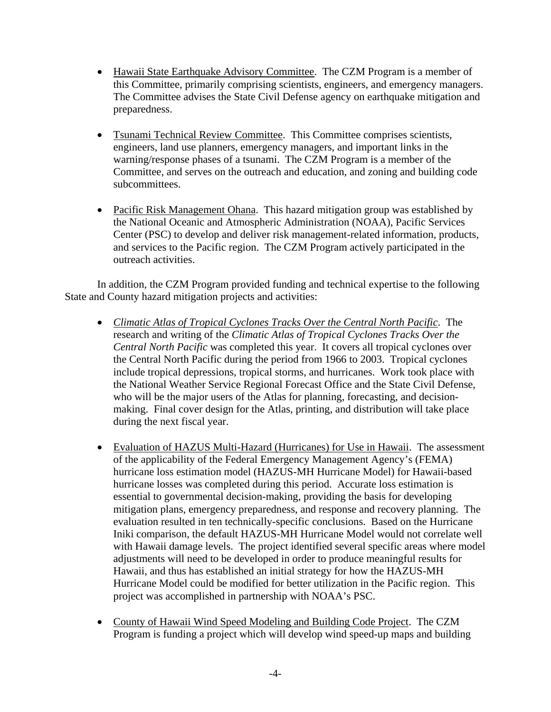- Hawaii State Earthquake Advisory Committee. The CZM Program is a member of this Committee, primarily comprising scientists, engineers, and emergency managers. The Committee advises the State Civil Defense agency on earthquake mitigation and preparedness.
- Tsunami Technical Review Committee. This Committee comprises scientists, engineers, land use planners, emergency managers, and important links in the warning/response phases of a tsunami. The CZM Program is a member of the Committee, and serves on the outreach and education, and zoning and building code subcommittees.
- Pacific Risk Management Ohana. This hazard mitigation group was established by the National Oceanic and Atmospheric Administration (NOAA), Pacific Services Center (PSC) to develop and deliver risk management-related information, products, and services to the Pacific region. The CZM Program actively participated in the outreach activities.

In addition, the CZM Program provided funding and technical expertise to the following State and County hazard mitigation projects and activities:

- *Climatic Atlas of Tropical Cyclones Tracks Over the Central North Pacific*. The research and writing of the *Climatic Atlas of Tropical Cyclones Tracks Over the Central North Pacific* was completed this year. It covers all tropical cyclones over the Central North Pacific during the period from 1966 to 2003. Tropical cyclones include tropical depressions, tropical storms, and hurricanes. Work took place with the National Weather Service Regional Forecast Office and the State Civil Defense, who will be the major users of the Atlas for planning, forecasting, and decisionmaking. Final cover design for the Atlas, printing, and distribution will take place during the next fiscal year.
- Evaluation of HAZUS Multi-Hazard (Hurricanes) for Use in Hawaii. The assessment of the applicability of the Federal Emergency Management Agency's (FEMA) hurricane loss estimation model (HAZUS-MH Hurricane Model) for Hawaii-based hurricane losses was completed during this period. Accurate loss estimation is essential to governmental decision-making, providing the basis for developing mitigation plans, emergency preparedness, and response and recovery planning. The evaluation resulted in ten technically-specific conclusions. Based on the Hurricane Iniki comparison, the default HAZUS-MH Hurricane Model would not correlate well with Hawaii damage levels. The project identified several specific areas where model adjustments will need to be developed in order to produce meaningful results for Hawaii, and thus has established an initial strategy for how the HAZUS-MH Hurricane Model could be modified for better utilization in the Pacific region. This project was accomplished in partnership with NOAA's PSC.
- County of Hawaii Wind Speed Modeling and Building Code Project. The CZM Program is funding a project which will develop wind speed-up maps and building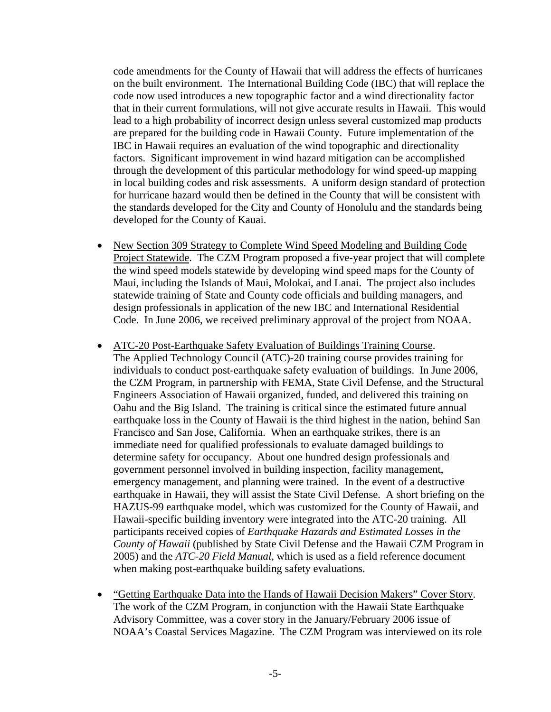code amendments for the County of Hawaii that will address the effects of hurricanes on the built environment. The International Building Code (IBC) that will replace the code now used introduces a new topographic factor and a wind directionality factor that in their current formulations, will not give accurate results in Hawaii. This would lead to a high probability of incorrect design unless several customized map products are prepared for the building code in Hawaii County. Future implementation of the IBC in Hawaii requires an evaluation of the wind topographic and directionality factors. Significant improvement in wind hazard mitigation can be accomplished through the development of this particular methodology for wind speed-up mapping in local building codes and risk assessments. A uniform design standard of protection for hurricane hazard would then be defined in the County that will be consistent with the standards developed for the City and County of Honolulu and the standards being developed for the County of Kauai.

- New Section 309 Strategy to Complete Wind Speed Modeling and Building Code Project Statewide. The CZM Program proposed a five-year project that will complete the wind speed models statewide by developing wind speed maps for the County of Maui, including the Islands of Maui, Molokai, and Lanai. The project also includes statewide training of State and County code officials and building managers, and design professionals in application of the new IBC and International Residential Code. In June 2006, we received preliminary approval of the project from NOAA.
- ATC-20 Post-Earthquake Safety Evaluation of Buildings Training Course. The Applied Technology Council (ATC)-20 training course provides training for individuals to conduct post-earthquake safety evaluation of buildings. In June 2006, the CZM Program, in partnership with FEMA, State Civil Defense, and the Structural Engineers Association of Hawaii organized, funded, and delivered this training on Oahu and the Big Island. The training is critical since the estimated future annual earthquake loss in the County of Hawaii is the third highest in the nation, behind San Francisco and San Jose, California. When an earthquake strikes, there is an immediate need for qualified professionals to evaluate damaged buildings to determine safety for occupancy. About one hundred design professionals and government personnel involved in building inspection, facility management, emergency management, and planning were trained. In the event of a destructive earthquake in Hawaii, they will assist the State Civil Defense. A short briefing on the HAZUS-99 earthquake model, which was customized for the County of Hawaii, and Hawaii-specific building inventory were integrated into the ATC-20 training. All participants received copies of *Earthquake Hazards and Estimated Losses in the County of Hawaii* (published by State Civil Defense and the Hawaii CZM Program in 2005) and the *ATC-20 Field Manual*, which is used as a field reference document when making post-earthquake building safety evaluations.
- "Getting Earthquake Data into the Hands of Hawaii Decision Makers" Cover Story. The work of the CZM Program, in conjunction with the Hawaii State Earthquake Advisory Committee, was a cover story in the January/February 2006 issue of NOAA's Coastal Services Magazine. The CZM Program was interviewed on its role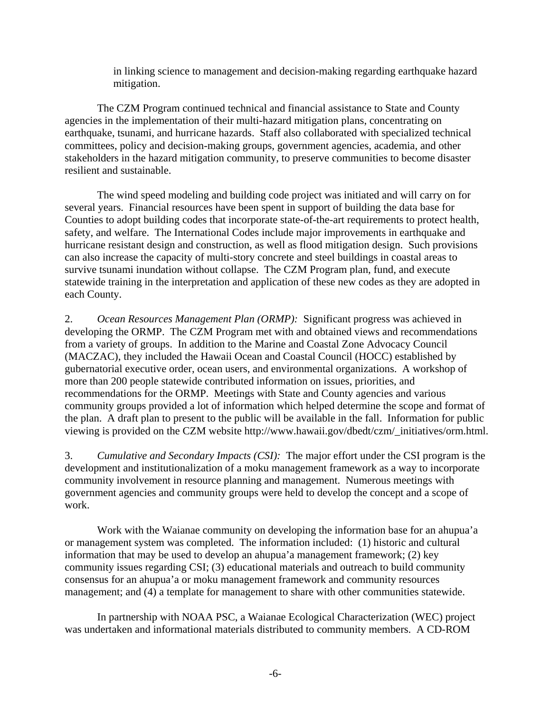in linking science to management and decision-making regarding earthquake hazard mitigation.

The CZM Program continued technical and financial assistance to State and County agencies in the implementation of their multi-hazard mitigation plans, concentrating on earthquake, tsunami, and hurricane hazards. Staff also collaborated with specialized technical committees, policy and decision-making groups, government agencies, academia, and other stakeholders in the hazard mitigation community, to preserve communities to become disaster resilient and sustainable.

 The wind speed modeling and building code project was initiated and will carry on for several years. Financial resources have been spent in support of building the data base for Counties to adopt building codes that incorporate state-of-the-art requirements to protect health, safety, and welfare. The International Codes include major improvements in earthquake and hurricane resistant design and construction, as well as flood mitigation design. Such provisions can also increase the capacity of multi-story concrete and steel buildings in coastal areas to survive tsunami inundation without collapse. The CZM Program plan, fund, and execute statewide training in the interpretation and application of these new codes as they are adopted in each County.

2. *Ocean Resources Management Plan (ORMP):* Significant progress was achieved in developing the ORMP. The CZM Program met with and obtained views and recommendations from a variety of groups. In addition to the Marine and Coastal Zone Advocacy Council (MACZAC), they included the Hawaii Ocean and Coastal Council (HOCC) established by gubernatorial executive order, ocean users, and environmental organizations. A workshop of more than 200 people statewide contributed information on issues, priorities, and recommendations for the ORMP. Meetings with State and County agencies and various community groups provided a lot of information which helped determine the scope and format of the plan. A draft plan to present to the public will be available in the fall. Information for public viewing is provided on the CZM website http://www.hawaii.gov/dbedt/czm/\_initiatives/orm.html.

3. *Cumulative and Secondary Impacts (CSI):* The major effort under the CSI program is the development and institutionalization of a moku management framework as a way to incorporate community involvement in resource planning and management. Numerous meetings with government agencies and community groups were held to develop the concept and a scope of work.

 Work with the Waianae community on developing the information base for an ahupua'a or management system was completed. The information included: (1) historic and cultural information that may be used to develop an ahupua'a management framework; (2) key community issues regarding CSI; (3) educational materials and outreach to build community consensus for an ahupua'a or moku management framework and community resources management; and (4) a template for management to share with other communities statewide.

 In partnership with NOAA PSC, a Waianae Ecological Characterization (WEC) project was undertaken and informational materials distributed to community members. A CD-ROM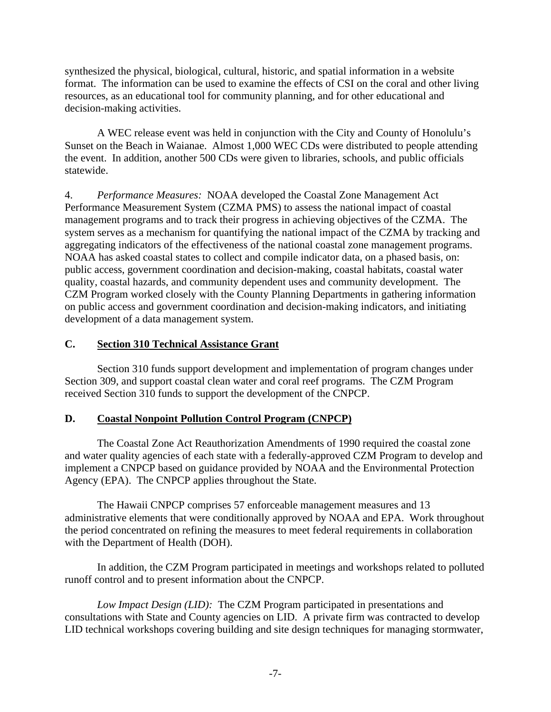synthesized the physical, biological, cultural, historic, and spatial information in a website format. The information can be used to examine the effects of CSI on the coral and other living resources, as an educational tool for community planning, and for other educational and decision-making activities.

 A WEC release event was held in conjunction with the City and County of Honolulu's Sunset on the Beach in Waianae. Almost 1,000 WEC CDs were distributed to people attending the event. In addition, another 500 CDs were given to libraries, schools, and public officials statewide.

4. *Performance Measures:* NOAA developed the Coastal Zone Management Act Performance Measurement System (CZMA PMS) to assess the national impact of coastal management programs and to track their progress in achieving objectives of the CZMA. The system serves as a mechanism for quantifying the national impact of the CZMA by tracking and aggregating indicators of the effectiveness of the national coastal zone management programs. NOAA has asked coastal states to collect and compile indicator data, on a phased basis, on: public access, government coordination and decision-making, coastal habitats, coastal water quality, coastal hazards, and community dependent uses and community development. The CZM Program worked closely with the County Planning Departments in gathering information on public access and government coordination and decision-making indicators, and initiating development of a data management system.

## **C. Section 310 Technical Assistance Grant**

 Section 310 funds support development and implementation of program changes under Section 309, and support coastal clean water and coral reef programs. The CZM Program received Section 310 funds to support the development of the CNPCP.

## **D. Coastal Nonpoint Pollution Control Program (CNPCP)**

 The Coastal Zone Act Reauthorization Amendments of 1990 required the coastal zone and water quality agencies of each state with a federally-approved CZM Program to develop and implement a CNPCP based on guidance provided by NOAA and the Environmental Protection Agency (EPA). The CNPCP applies throughout the State.

 The Hawaii CNPCP comprises 57 enforceable management measures and 13 administrative elements that were conditionally approved by NOAA and EPA. Work throughout the period concentrated on refining the measures to meet federal requirements in collaboration with the Department of Health (DOH).

 In addition, the CZM Program participated in meetings and workshops related to polluted runoff control and to present information about the CNPCP.

*Low Impact Design (LID):* The CZM Program participated in presentations and consultations with State and County agencies on LID. A private firm was contracted to develop LID technical workshops covering building and site design techniques for managing stormwater,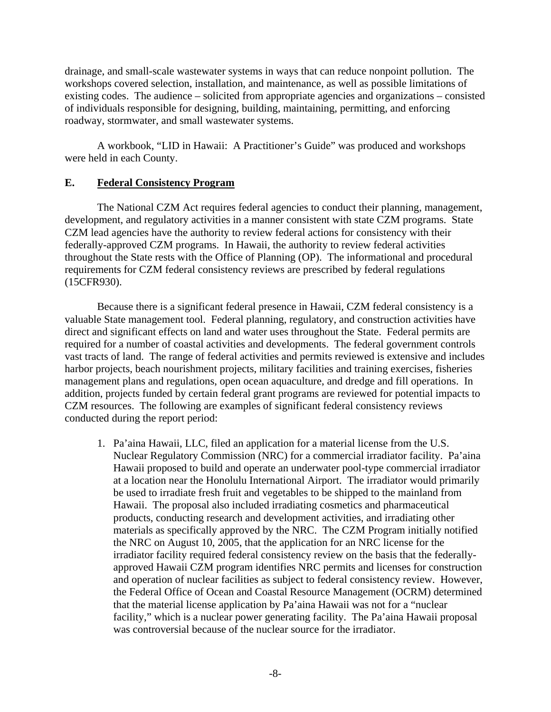drainage, and small-scale wastewater systems in ways that can reduce nonpoint pollution. The workshops covered selection, installation, and maintenance, as well as possible limitations of existing codes. The audience – solicited from appropriate agencies and organizations – consisted of individuals responsible for designing, building, maintaining, permitting, and enforcing roadway, stormwater, and small wastewater systems.

 A workbook, "LID in Hawaii: A Practitioner's Guide" was produced and workshops were held in each County.

## **E. Federal Consistency Program**

 The National CZM Act requires federal agencies to conduct their planning, management, development, and regulatory activities in a manner consistent with state CZM programs. State CZM lead agencies have the authority to review federal actions for consistency with their federally-approved CZM programs. In Hawaii, the authority to review federal activities throughout the State rests with the Office of Planning (OP). The informational and procedural requirements for CZM federal consistency reviews are prescribed by federal regulations (15CFR930).

 Because there is a significant federal presence in Hawaii, CZM federal consistency is a valuable State management tool. Federal planning, regulatory, and construction activities have direct and significant effects on land and water uses throughout the State. Federal permits are required for a number of coastal activities and developments. The federal government controls vast tracts of land. The range of federal activities and permits reviewed is extensive and includes harbor projects, beach nourishment projects, military facilities and training exercises, fisheries management plans and regulations, open ocean aquaculture, and dredge and fill operations. In addition, projects funded by certain federal grant programs are reviewed for potential impacts to CZM resources. The following are examples of significant federal consistency reviews conducted during the report period:

1. Pa'aina Hawaii, LLC, filed an application for a material license from the U.S. Nuclear Regulatory Commission (NRC) for a commercial irradiator facility. Pa'aina Hawaii proposed to build and operate an underwater pool-type commercial irradiator at a location near the Honolulu International Airport. The irradiator would primarily be used to irradiate fresh fruit and vegetables to be shipped to the mainland from Hawaii. The proposal also included irradiating cosmetics and pharmaceutical products, conducting research and development activities, and irradiating other materials as specifically approved by the NRC. The CZM Program initially notified the NRC on August 10, 2005, that the application for an NRC license for the irradiator facility required federal consistency review on the basis that the federallyapproved Hawaii CZM program identifies NRC permits and licenses for construction and operation of nuclear facilities as subject to federal consistency review. However, the Federal Office of Ocean and Coastal Resource Management (OCRM) determined that the material license application by Pa'aina Hawaii was not for a "nuclear facility," which is a nuclear power generating facility. The Pa'aina Hawaii proposal was controversial because of the nuclear source for the irradiator.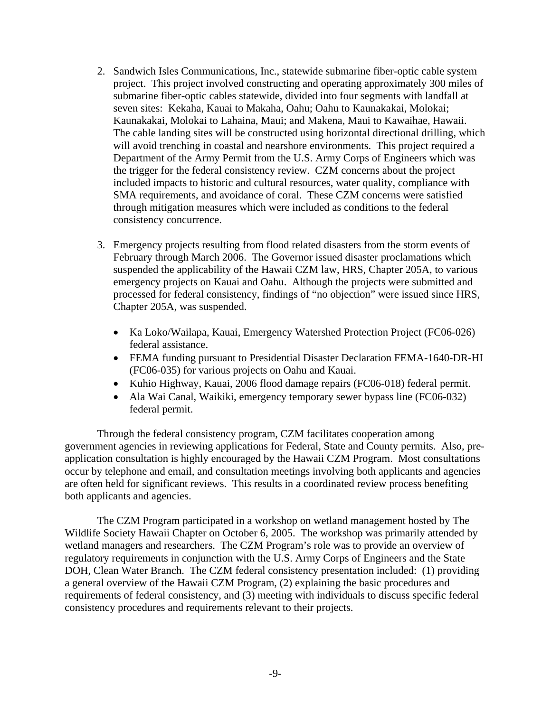- 2. Sandwich Isles Communications, Inc., statewide submarine fiber-optic cable system project. This project involved constructing and operating approximately 300 miles of submarine fiber-optic cables statewide, divided into four segments with landfall at seven sites: Kekaha, Kauai to Makaha, Oahu; Oahu to Kaunakakai, Molokai; Kaunakakai, Molokai to Lahaina, Maui; and Makena, Maui to Kawaihae, Hawaii. The cable landing sites will be constructed using horizontal directional drilling, which will avoid trenching in coastal and nearshore environments. This project required a Department of the Army Permit from the U.S. Army Corps of Engineers which was the trigger for the federal consistency review. CZM concerns about the project included impacts to historic and cultural resources, water quality, compliance with SMA requirements, and avoidance of coral. These CZM concerns were satisfied through mitigation measures which were included as conditions to the federal consistency concurrence.
- 3. Emergency projects resulting from flood related disasters from the storm events of February through March 2006. The Governor issued disaster proclamations which suspended the applicability of the Hawaii CZM law, HRS, Chapter 205A, to various emergency projects on Kauai and Oahu. Although the projects were submitted and processed for federal consistency, findings of "no objection" were issued since HRS, Chapter 205A, was suspended.
	- Ka Loko/Wailapa, Kauai, Emergency Watershed Protection Project (FC06-026) federal assistance.
	- FEMA funding pursuant to Presidential Disaster Declaration FEMA-1640-DR-HI (FC06-035) for various projects on Oahu and Kauai.
	- Kuhio Highway, Kauai, 2006 flood damage repairs (FC06-018) federal permit.
	- Ala Wai Canal, Waikiki, emergency temporary sewer bypass line (FC06-032) federal permit.

 Through the federal consistency program, CZM facilitates cooperation among government agencies in reviewing applications for Federal, State and County permits. Also, preapplication consultation is highly encouraged by the Hawaii CZM Program. Most consultations occur by telephone and email, and consultation meetings involving both applicants and agencies are often held for significant reviews. This results in a coordinated review process benefiting both applicants and agencies.

 The CZM Program participated in a workshop on wetland management hosted by The Wildlife Society Hawaii Chapter on October 6, 2005. The workshop was primarily attended by wetland managers and researchers. The CZM Program's role was to provide an overview of regulatory requirements in conjunction with the U.S. Army Corps of Engineers and the State DOH, Clean Water Branch. The CZM federal consistency presentation included: (1) providing a general overview of the Hawaii CZM Program, (2) explaining the basic procedures and requirements of federal consistency, and (3) meeting with individuals to discuss specific federal consistency procedures and requirements relevant to their projects.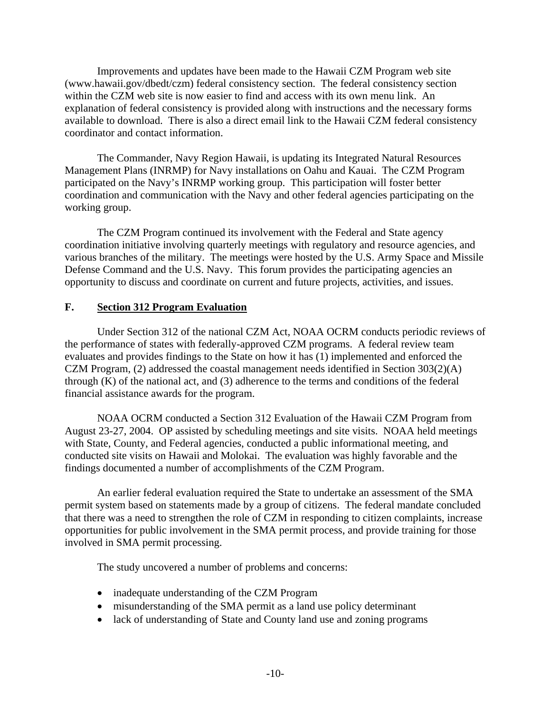Improvements and updates have been made to the Hawaii CZM Program web site ([www.hawaii.gov/dbedt/czm](http://www.hawaii.gov/dbedt/czm)) federal consistency section. The federal consistency section within the CZM web site is now easier to find and access with its own menu link. An explanation of federal consistency is provided along with instructions and the necessary forms available to download. There is also a direct email link to the Hawaii CZM federal consistency coordinator and contact information.

 The Commander, Navy Region Hawaii, is updating its Integrated Natural Resources Management Plans (INRMP) for Navy installations on Oahu and Kauai. The CZM Program participated on the Navy's INRMP working group. This participation will foster better coordination and communication with the Navy and other federal agencies participating on the working group.

 The CZM Program continued its involvement with the Federal and State agency coordination initiative involving quarterly meetings with regulatory and resource agencies, and various branches of the military. The meetings were hosted by the U.S. Army Space and Missile Defense Command and the U.S. Navy. This forum provides the participating agencies an opportunity to discuss and coordinate on current and future projects, activities, and issues.

## **F. Section 312 Program Evaluation**

Under Section 312 of the national CZM Act, NOAA OCRM conducts periodic reviews of the performance of states with federally-approved CZM programs. A federal review team evaluates and provides findings to the State on how it has (1) implemented and enforced the CZM Program, (2) addressed the coastal management needs identified in Section 303(2)(A) through (K) of the national act, and (3) adherence to the terms and conditions of the federal financial assistance awards for the program.

 NOAA OCRM conducted a Section 312 Evaluation of the Hawaii CZM Program from August 23-27, 2004. OP assisted by scheduling meetings and site visits. NOAA held meetings with State, County, and Federal agencies, conducted a public informational meeting, and conducted site visits on Hawaii and Molokai. The evaluation was highly favorable and the findings documented a number of accomplishments of the CZM Program.

 An earlier federal evaluation required the State to undertake an assessment of the SMA permit system based on statements made by a group of citizens. The federal mandate concluded that there was a need to strengthen the role of CZM in responding to citizen complaints, increase opportunities for public involvement in the SMA permit process, and provide training for those involved in SMA permit processing.

The study uncovered a number of problems and concerns:

- inadequate understanding of the CZM Program
- misunderstanding of the SMA permit as a land use policy determinant
- lack of understanding of State and County land use and zoning programs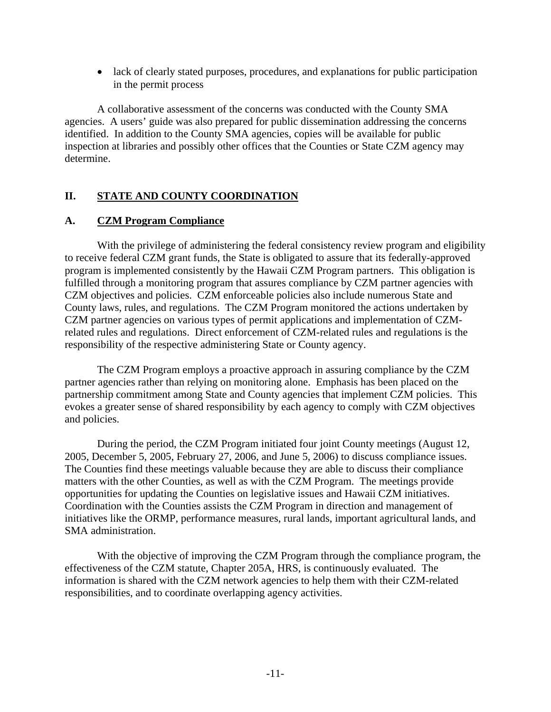• lack of clearly stated purposes, procedures, and explanations for public participation in the permit process

A collaborative assessment of the concerns was conducted with the County SMA agencies. A users' guide was also prepared for public dissemination addressing the concerns identified. In addition to the County SMA agencies, copies will be available for public inspection at libraries and possibly other offices that the Counties or State CZM agency may determine.

## **II. STATE AND COUNTY COORDINATION**

#### **A. CZM Program Compliance**

 With the privilege of administering the federal consistency review program and eligibility to receive federal CZM grant funds, the State is obligated to assure that its federally-approved program is implemented consistently by the Hawaii CZM Program partners. This obligation is fulfilled through a monitoring program that assures compliance by CZM partner agencies with CZM objectives and policies. CZM enforceable policies also include numerous State and County laws, rules, and regulations. The CZM Program monitored the actions undertaken by CZM partner agencies on various types of permit applications and implementation of CZMrelated rules and regulations. Direct enforcement of CZM-related rules and regulations is the responsibility of the respective administering State or County agency.

 The CZM Program employs a proactive approach in assuring compliance by the CZM partner agencies rather than relying on monitoring alone. Emphasis has been placed on the partnership commitment among State and County agencies that implement CZM policies. This evokes a greater sense of shared responsibility by each agency to comply with CZM objectives and policies.

 During the period, the CZM Program initiated four joint County meetings (August 12, 2005, December 5, 2005, February 27, 2006, and June 5, 2006) to discuss compliance issues. The Counties find these meetings valuable because they are able to discuss their compliance matters with the other Counties, as well as with the CZM Program. The meetings provide opportunities for updating the Counties on legislative issues and Hawaii CZM initiatives. Coordination with the Counties assists the CZM Program in direction and management of initiatives like the ORMP, performance measures, rural lands, important agricultural lands, and SMA administration.

 With the objective of improving the CZM Program through the compliance program, the effectiveness of the CZM statute, Chapter 205A, HRS, is continuously evaluated. The information is shared with the CZM network agencies to help them with their CZM-related responsibilities, and to coordinate overlapping agency activities.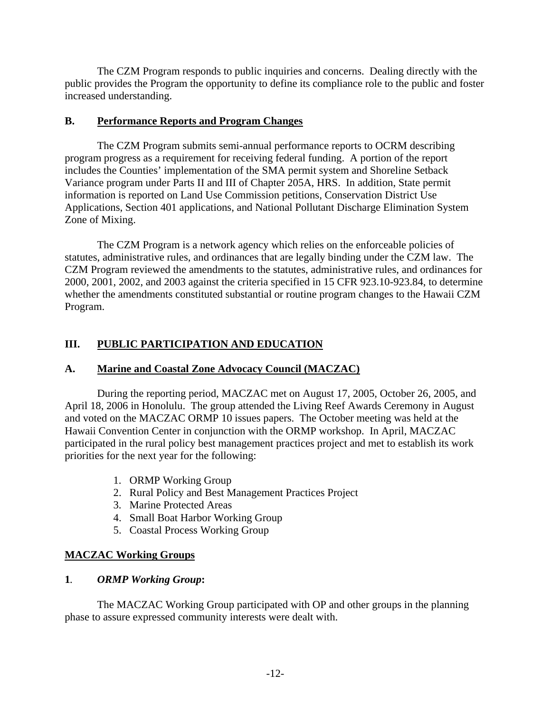The CZM Program responds to public inquiries and concerns. Dealing directly with the public provides the Program the opportunity to define its compliance role to the public and foster increased understanding.

#### **B. Performance Reports and Program Changes**

 The CZM Program submits semi-annual performance reports to OCRM describing program progress as a requirement for receiving federal funding. A portion of the report includes the Counties' implementation of the SMA permit system and Shoreline Setback Variance program under Parts II and III of Chapter 205A, HRS. In addition, State permit information is reported on Land Use Commission petitions, Conservation District Use Applications, Section 401 applications, and National Pollutant Discharge Elimination System Zone of Mixing.

 The CZM Program is a network agency which relies on the enforceable policies of statutes, administrative rules, and ordinances that are legally binding under the CZM law. The CZM Program reviewed the amendments to the statutes, administrative rules, and ordinances for 2000, 2001, 2002, and 2003 against the criteria specified in 15 CFR 923.10-923.84, to determine whether the amendments constituted substantial or routine program changes to the Hawaii CZM Program.

# **III. PUBLIC PARTICIPATION AND EDUCATION**

## **A. Marine and Coastal Zone Advocacy Council (MACZAC)**

 During the reporting period, MACZAC met on August 17, 2005, October 26, 2005, and April 18, 2006 in Honolulu. The group attended the Living Reef Awards Ceremony in August and voted on the MACZAC ORMP 10 issues papers. The October meeting was held at the Hawaii Convention Center in conjunction with the ORMP workshop. In April, MACZAC participated in the rural policy best management practices project and met to establish its work priorities for the next year for the following:

- 1. ORMP Working Group
- 2. Rural Policy and Best Management Practices Project
- 3. Marine Protected Areas
- 4. Small Boat Harbor Working Group
- 5. Coastal Process Working Group

## **MACZAC Working Groups**

## **1***. ORMP Working Group***:**

 The MACZAC Working Group participated with OP and other groups in the planning phase to assure expressed community interests were dealt with.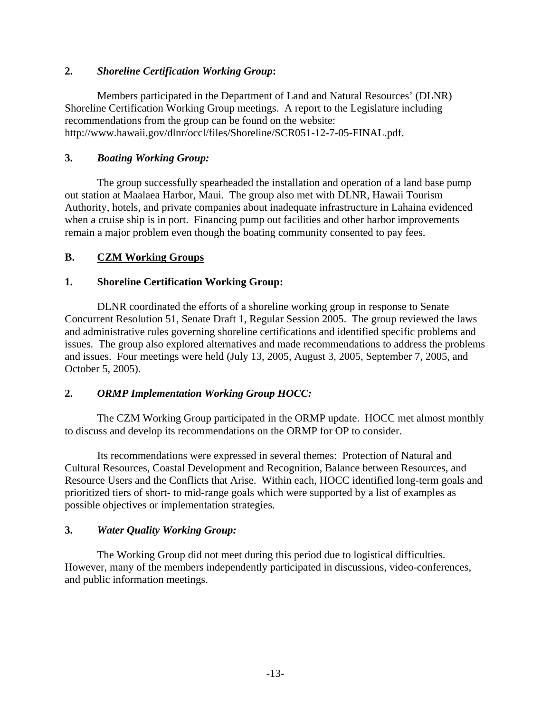## **2.** *Shoreline Certification Working Group***:**

 Members participated in the Department of Land and Natural Resources' (DLNR) Shoreline Certification Working Group meetings. A report to the Legislature including recommendations from the group can be found on the website: http://www.hawaii.gov/dlnr/occl/files/Shoreline/SCR051-12-7-05-FINAL.pdf.

#### **3.** *Boating Working Group:*

The group successfully spearheaded the installation and operation of a land base pump out station at Maalaea Harbor, Maui. The group also met with DLNR, Hawaii Tourism Authority, hotels, and private companies about inadequate infrastructure in Lahaina evidenced when a cruise ship is in port. Financing pump out facilities and other harbor improvements remain a major problem even though the boating community consented to pay fees.

#### **B. CZM Working Groups**

#### **1. Shoreline Certification Working Group:**

 DLNR coordinated the efforts of a shoreline working group in response to Senate Concurrent Resolution 51, Senate Draft 1, Regular Session 2005. The group reviewed the laws and administrative rules governing shoreline certifications and identified specific problems and issues. The group also explored alternatives and made recommendations to address the problems and issues. Four meetings were held (July 13, 2005, August 3, 2005, September 7, 2005, and October 5, 2005).

#### **2.** *ORMP Implementation Working Group HOCC:*

The CZM Working Group participated in the ORMP update. HOCC met almost monthly to discuss and develop its recommendations on the ORMP for OP to consider.

Its recommendations were expressed in several themes: Protection of Natural and Cultural Resources, Coastal Development and Recognition, Balance between Resources, and Resource Users and the Conflicts that Arise. Within each, HOCC identified long-term goals and prioritized tiers of short- to mid-range goals which were supported by a list of examples as possible objectives or implementation strategies.

## **3.** *Water Quality Working Group:*

 The Working Group did not meet during this period due to logistical difficulties. However, many of the members independently participated in discussions, video-conferences, and public information meetings.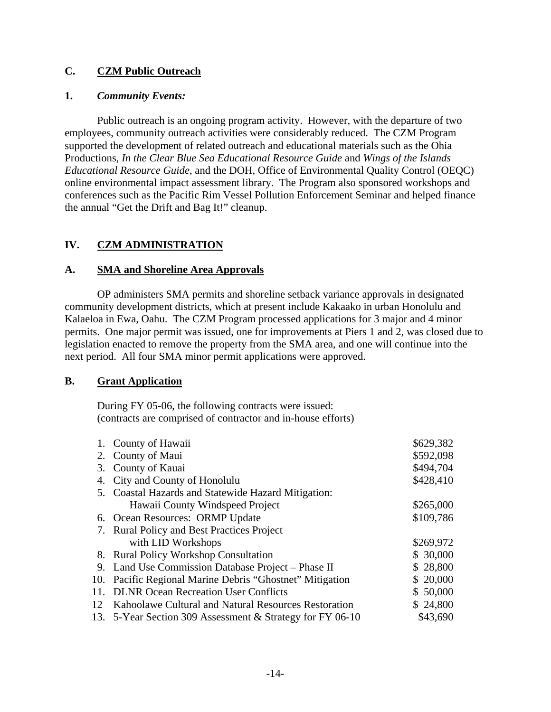## **C. CZM Public Outreach**

#### **1.** *Community Events:*

 Public outreach is an ongoing program activity. However, with the departure of two employees, community outreach activities were considerably reduced. The CZM Program supported the development of related outreach and educational materials such as the Ohia Productions, *In the Clear Blue Sea Educational Resource Guide* and *Wings of the Islands Educational Resource Guide*, and the DOH, Office of Environmental Quality Control (OEQC) online environmental impact assessment library. The Program also sponsored workshops and conferences such as the Pacific Rim Vessel Pollution Enforcement Seminar and helped finance the annual "Get the Drift and Bag It!" cleanup.

## **IV. CZM ADMINISTRATION**

#### **A. SMA and Shoreline Area Approvals**

 OP administers SMA permits and shoreline setback variance approvals in designated community development districts, which at present include Kakaako in urban Honolulu and Kalaeloa in Ewa, Oahu. The CZM Program processed applications for 3 major and 4 minor permits. One major permit was issued, one for improvements at Piers 1 and 2, was closed due to legislation enacted to remove the property from the SMA area, and one will continue into the next period. All four SMA minor permit applications were approved.

## **B. Grant Application**

 During FY 05-06, the following contracts were issued: (contracts are comprised of contractor and in-house efforts)

|     | 1. County of Hawaii                                       | \$629,382 |
|-----|-----------------------------------------------------------|-----------|
|     | 2. County of Maui                                         | \$592,098 |
|     | 3. County of Kauai                                        | \$494,704 |
|     | 4. City and County of Honolulu                            | \$428,410 |
|     | 5. Coastal Hazards and Statewide Hazard Mitigation:       |           |
|     | Hawaii County Windspeed Project                           | \$265,000 |
|     | 6. Ocean Resources: ORMP Update                           | \$109,786 |
|     | 7. Rural Policy and Best Practices Project                |           |
|     | with LID Workshops                                        | \$269,972 |
|     | 8. Rural Policy Workshop Consultation                     | \$30,000  |
|     | 9. Land Use Commission Database Project – Phase II        | \$28,800  |
|     | 10. Pacific Regional Marine Debris "Ghostnet" Mitigation  | \$20,000  |
| 11. | <b>DLNR Ocean Recreation User Conflicts</b>               | \$50,000  |
| 12  | Kahoolawe Cultural and Natural Resources Restoration      | \$24,800  |
|     | 13. 5-Year Section 309 Assessment & Strategy for FY 06-10 | \$43,690  |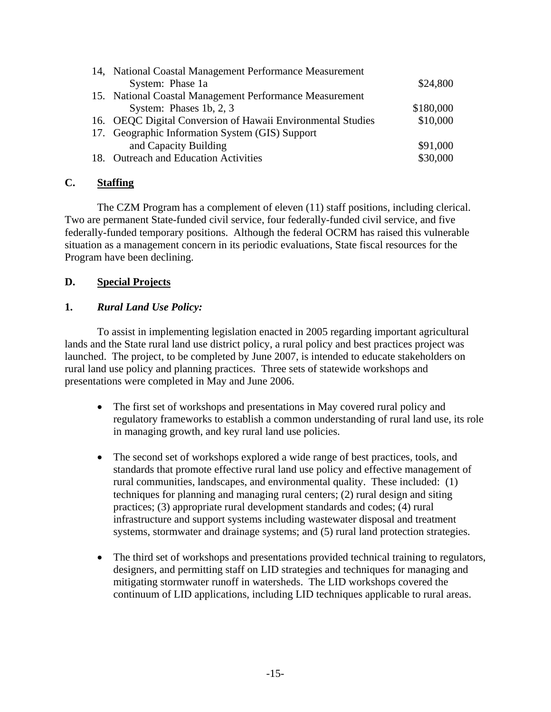| 14, National Coastal Management Performance Measurement     |           |
|-------------------------------------------------------------|-----------|
| System: Phase 1a                                            | \$24,800  |
| 15. National Coastal Management Performance Measurement     |           |
| System: Phases 1b, $2, 3$                                   | \$180,000 |
| 16. OEQC Digital Conversion of Hawaii Environmental Studies | \$10,000  |
| 17. Geographic Information System (GIS) Support             |           |
| and Capacity Building                                       | \$91,000  |
| 18. Outreach and Education Activities                       | \$30,000  |

## **C. Staffing**

 The CZM Program has a complement of eleven (11) staff positions, including clerical. Two are permanent State-funded civil service, four federally-funded civil service, and five federally-funded temporary positions. Although the federal OCRM has raised this vulnerable situation as a management concern in its periodic evaluations, State fiscal resources for the Program have been declining.

#### **D. Special Projects**

## **1.** *Rural Land Use Policy:*

 To assist in implementing legislation enacted in 2005 regarding important agricultural lands and the State rural land use district policy, a rural policy and best practices project was launched. The project, to be completed by June 2007, is intended to educate stakeholders on rural land use policy and planning practices. Three sets of statewide workshops and presentations were completed in May and June 2006.

- The first set of workshops and presentations in May covered rural policy and regulatory frameworks to establish a common understanding of rural land use, its role in managing growth, and key rural land use policies.
- The second set of workshops explored a wide range of best practices, tools, and standards that promote effective rural land use policy and effective management of rural communities, landscapes, and environmental quality. These included: (1) techniques for planning and managing rural centers; (2) rural design and siting practices; (3) appropriate rural development standards and codes; (4) rural infrastructure and support systems including wastewater disposal and treatment systems, stormwater and drainage systems; and (5) rural land protection strategies.
- The third set of workshops and presentations provided technical training to regulators, designers, and permitting staff on LID strategies and techniques for managing and mitigating stormwater runoff in watersheds. The LID workshops covered the continuum of LID applications, including LID techniques applicable to rural areas.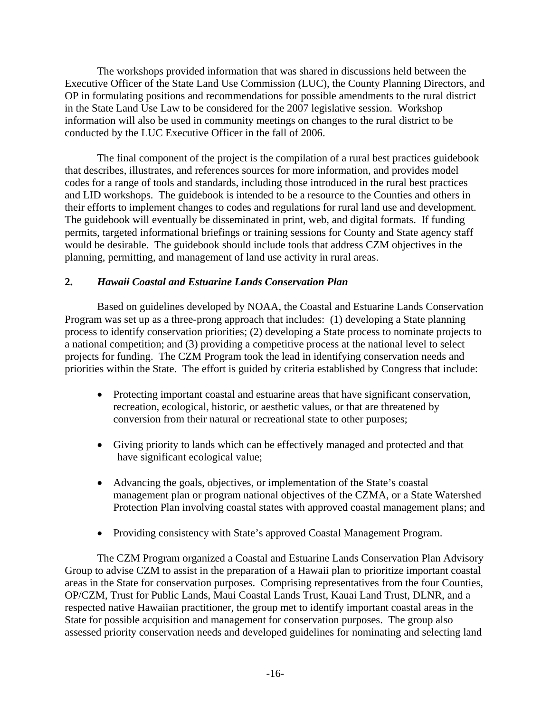The workshops provided information that was shared in discussions held between the Executive Officer of the State Land Use Commission (LUC), the County Planning Directors, and OP in formulating positions and recommendations for possible amendments to the rural district in the State Land Use Law to be considered for the 2007 legislative session. Workshop information will also be used in community meetings on changes to the rural district to be conducted by the LUC Executive Officer in the fall of 2006.

 The final component of the project is the compilation of a rural best practices guidebook that describes, illustrates, and references sources for more information, and provides model codes for a range of tools and standards, including those introduced in the rural best practices and LID workshops. The guidebook is intended to be a resource to the Counties and others in their efforts to implement changes to codes and regulations for rural land use and development. The guidebook will eventually be disseminated in print, web, and digital formats. If funding permits, targeted informational briefings or training sessions for County and State agency staff would be desirable. The guidebook should include tools that address CZM objectives in the planning, permitting, and management of land use activity in rural areas.

## **2.** *Hawaii Coastal and Estuarine Lands Conservation Plan*

Based on guidelines developed by NOAA, the Coastal and Estuarine Lands Conservation Program was set up as a three-prong approach that includes: (1) developing a State planning process to identify conservation priorities; (2) developing a State process to nominate projects to a national competition; and (3) providing a competitive process at the national level to select projects for funding. The CZM Program took the lead in identifying conservation needs and priorities within the State. The effort is guided by criteria established by Congress that include:

- Protecting important coastal and estuarine areas that have significant conservation, recreation, ecological, historic, or aesthetic values, or that are threatened by conversion from their natural or recreational state to other purposes;
- Giving priority to lands which can be effectively managed and protected and that have significant ecological value;
- Advancing the goals, objectives, or implementation of the State's coastal management plan or program national objectives of the CZMA, or a State Watershed Protection Plan involving coastal states with approved coastal management plans; and
- Providing consistency with State's approved Coastal Management Program.

The CZM Program organized a Coastal and Estuarine Lands Conservation Plan Advisory Group to advise CZM to assist in the preparation of a Hawaii plan to prioritize important coastal areas in the State for conservation purposes. Comprising representatives from the four Counties, OP/CZM, Trust for Public Lands, Maui Coastal Lands Trust, Kauai Land Trust, DLNR, and a respected native Hawaiian practitioner, the group met to identify important coastal areas in the State for possible acquisition and management for conservation purposes. The group also assessed priority conservation needs and developed guidelines for nominating and selecting land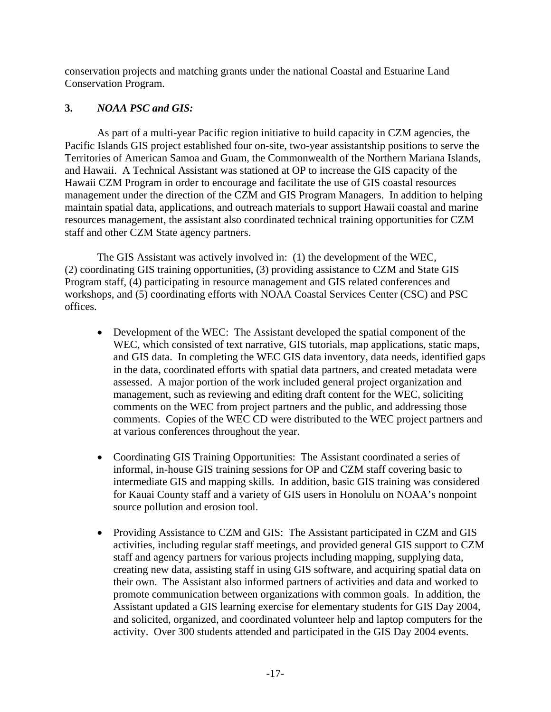conservation projects and matching grants under the national Coastal and Estuarine Land Conservation Program.

## **3.** *NOAA PSC and GIS:*

 As part of a multi-year Pacific region initiative to build capacity in CZM agencies, the Pacific Islands GIS project established four on-site, two-year assistantship positions to serve the Territories of American Samoa and Guam, the Commonwealth of the Northern Mariana Islands, and Hawaii. A Technical Assistant was stationed at OP to increase the GIS capacity of the Hawaii CZM Program in order to encourage and facilitate the use of GIS coastal resources management under the direction of the CZM and GIS Program Managers. In addition to helping maintain spatial data, applications, and outreach materials to support Hawaii coastal and marine resources management, the assistant also coordinated technical training opportunities for CZM staff and other CZM State agency partners.

The GIS Assistant was actively involved in: (1) the development of the WEC, (2) coordinating GIS training opportunities, (3) providing assistance to CZM and State GIS Program staff, (4) participating in resource management and GIS related conferences and workshops, and (5) coordinating efforts with NOAA Coastal Services Center (CSC) and PSC offices.

- Development of the WEC: The Assistant developed the spatial component of the WEC, which consisted of text narrative, GIS tutorials, map applications, static maps, and GIS data. In completing the WEC GIS data inventory, data needs, identified gaps in the data, coordinated efforts with spatial data partners, and created metadata were assessed. A major portion of the work included general project organization and management, such as reviewing and editing draft content for the WEC, soliciting comments on the WEC from project partners and the public, and addressing those comments. Copies of the WEC CD were distributed to the WEC project partners and at various conferences throughout the year.
- Coordinating GIS Training Opportunities: The Assistant coordinated a series of informal, in-house GIS training sessions for OP and CZM staff covering basic to intermediate GIS and mapping skills. In addition, basic GIS training was considered for Kauai County staff and a variety of GIS users in Honolulu on NOAA's nonpoint source pollution and erosion tool.
- Providing Assistance to CZM and GIS: The Assistant participated in CZM and GIS activities, including regular staff meetings, and provided general GIS support to CZM staff and agency partners for various projects including mapping, supplying data, creating new data, assisting staff in using GIS software, and acquiring spatial data on their own. The Assistant also informed partners of activities and data and worked to promote communication between organizations with common goals. In addition, the Assistant updated a GIS learning exercise for elementary students for GIS Day 2004, and solicited, organized, and coordinated volunteer help and laptop computers for the activity. Over 300 students attended and participated in the GIS Day 2004 events.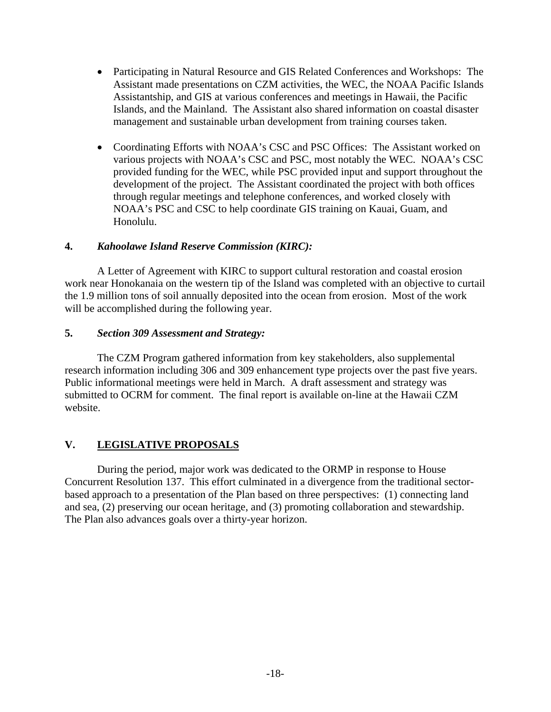- Participating in Natural Resource and GIS Related Conferences and Workshops: The Assistant made presentations on CZM activities, the WEC, the NOAA Pacific Islands Assistantship, and GIS at various conferences and meetings in Hawaii, the Pacific Islands, and the Mainland. The Assistant also shared information on coastal disaster management and sustainable urban development from training courses taken.
- Coordinating Efforts with NOAA's CSC and PSC Offices: The Assistant worked on various projects with NOAA's CSC and PSC, most notably the WEC. NOAA's CSC provided funding for the WEC, while PSC provided input and support throughout the development of the project. The Assistant coordinated the project with both offices through regular meetings and telephone conferences, and worked closely with NOAA's PSC and CSC to help coordinate GIS training on Kauai, Guam, and Honolulu.

## **4.** *Kahoolawe Island Reserve Commission (KIRC):*

 A Letter of Agreement with KIRC to support cultural restoration and coastal erosion work near Honokanaia on the western tip of the Island was completed with an objective to curtail the 1.9 million tons of soil annually deposited into the ocean from erosion. Most of the work will be accomplished during the following year.

## **5.** *Section 309 Assessment and Strategy:*

 The CZM Program gathered information from key stakeholders, also supplemental research information including 306 and 309 enhancement type projects over the past five years. Public informational meetings were held in March. A draft assessment and strategy was submitted to OCRM for comment. The final report is available on-line at the Hawaii CZM website.

# **V. LEGISLATIVE PROPOSALS**

 During the period, major work was dedicated to the ORMP in response to House Concurrent Resolution 137. This effort culminated in a divergence from the traditional sectorbased approach to a presentation of the Plan based on three perspectives: (1) connecting land and sea, (2) preserving our ocean heritage, and (3) promoting collaboration and stewardship. The Plan also advances goals over a thirty-year horizon.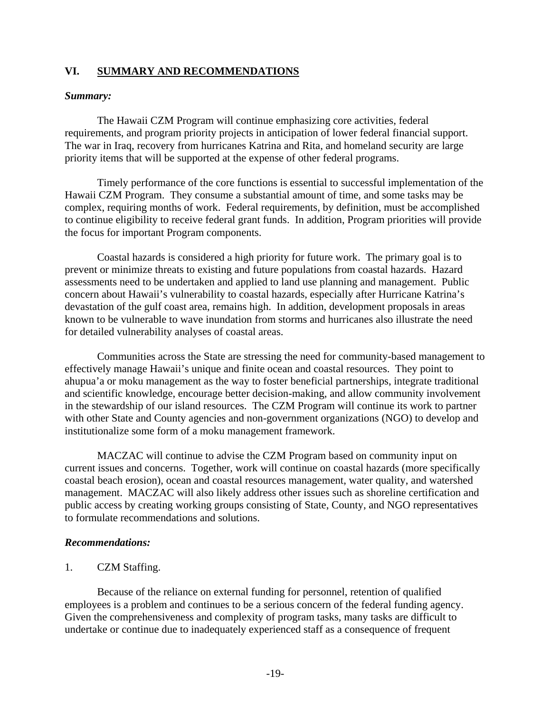#### **VI. SUMMARY AND RECOMMENDATIONS**

#### *Summary:*

 The Hawaii CZM Program will continue emphasizing core activities, federal requirements, and program priority projects in anticipation of lower federal financial support. The war in Iraq, recovery from hurricanes Katrina and Rita, and homeland security are large priority items that will be supported at the expense of other federal programs.

 Timely performance of the core functions is essential to successful implementation of the Hawaii CZM Program. They consume a substantial amount of time, and some tasks may be complex, requiring months of work. Federal requirements, by definition, must be accomplished to continue eligibility to receive federal grant funds. In addition, Program priorities will provide the focus for important Program components.

 Coastal hazards is considered a high priority for future work. The primary goal is to prevent or minimize threats to existing and future populations from coastal hazards. Hazard assessments need to be undertaken and applied to land use planning and management. Public concern about Hawaii's vulnerability to coastal hazards, especially after Hurricane Katrina's devastation of the gulf coast area, remains high. In addition, development proposals in areas known to be vulnerable to wave inundation from storms and hurricanes also illustrate the need for detailed vulnerability analyses of coastal areas.

Communities across the State are stressing the need for community-based management to effectively manage Hawaii's unique and finite ocean and coastal resources. They point to ahupua'a or moku management as the way to foster beneficial partnerships, integrate traditional and scientific knowledge, encourage better decision-making, and allow community involvement in the stewardship of our island resources. The CZM Program will continue its work to partner with other State and County agencies and non-government organizations (NGO) to develop and institutionalize some form of a moku management framework.

 MACZAC will continue to advise the CZM Program based on community input on current issues and concerns. Together, work will continue on coastal hazards (more specifically coastal beach erosion), ocean and coastal resources management, water quality, and watershed management. MACZAC will also likely address other issues such as shoreline certification and public access by creating working groups consisting of State, County, and NGO representatives to formulate recommendations and solutions.

#### *Recommendations:*

1. CZM Staffing.

Because of the reliance on external funding for personnel, retention of qualified employees is a problem and continues to be a serious concern of the federal funding agency. Given the comprehensiveness and complexity of program tasks, many tasks are difficult to undertake or continue due to inadequately experienced staff as a consequence of frequent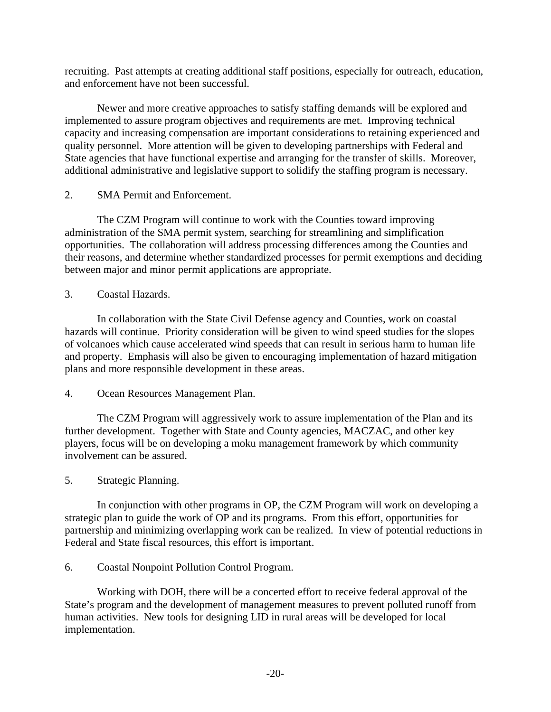recruiting. Past attempts at creating additional staff positions, especially for outreach, education, and enforcement have not been successful.

 Newer and more creative approaches to satisfy staffing demands will be explored and implemented to assure program objectives and requirements are met. Improving technical capacity and increasing compensation are important considerations to retaining experienced and quality personnel. More attention will be given to developing partnerships with Federal and State agencies that have functional expertise and arranging for the transfer of skills. Moreover, additional administrative and legislative support to solidify the staffing program is necessary.

2. SMA Permit and Enforcement.

The CZM Program will continue to work with the Counties toward improving administration of the SMA permit system, searching for streamlining and simplification opportunities. The collaboration will address processing differences among the Counties and their reasons, and determine whether standardized processes for permit exemptions and deciding between major and minor permit applications are appropriate.

3. Coastal Hazards.

In collaboration with the State Civil Defense agency and Counties, work on coastal hazards will continue. Priority consideration will be given to wind speed studies for the slopes of volcanoes which cause accelerated wind speeds that can result in serious harm to human life and property. Emphasis will also be given to encouraging implementation of hazard mitigation plans and more responsible development in these areas.

4. Ocean Resources Management Plan.

 The CZM Program will aggressively work to assure implementation of the Plan and its further development. Together with State and County agencies, MACZAC, and other key players, focus will be on developing a moku management framework by which community involvement can be assured.

5. Strategic Planning.

 In conjunction with other programs in OP, the CZM Program will work on developing a strategic plan to guide the work of OP and its programs. From this effort, opportunities for partnership and minimizing overlapping work can be realized. In view of potential reductions in Federal and State fiscal resources, this effort is important.

## 6. Coastal Nonpoint Pollution Control Program.

 Working with DOH, there will be a concerted effort to receive federal approval of the State's program and the development of management measures to prevent polluted runoff from human activities. New tools for designing LID in rural areas will be developed for local implementation.